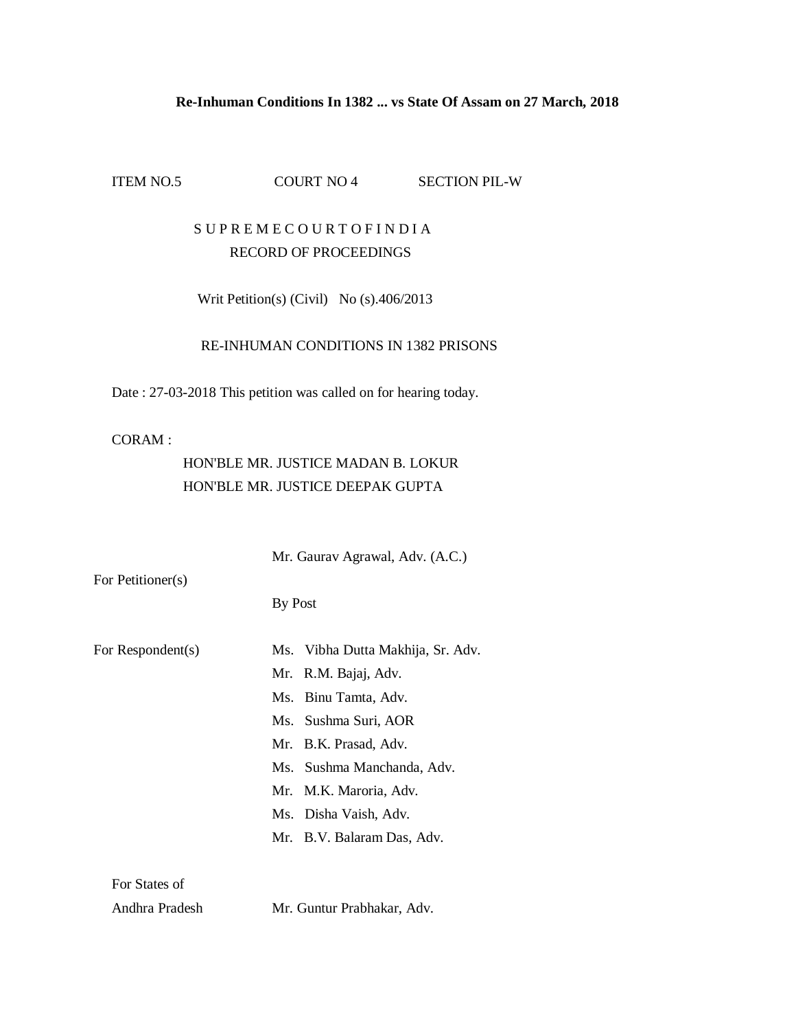#### **Re-Inhuman Conditions In 1382 ... vs State Of Assam on 27 March, 2018**

ITEM NO.5 COURT NO 4 SECTION PIL-W

## S U P R E M E C O U R T O F I N D I A RECORD OF PROCEEDINGS

Writ Petition(s) (Civil) No (s).406/2013

### RE-INHUMAN CONDITIONS IN 1382 PRISONS

Date : 27-03-2018 This petition was called on for hearing today.

#### CORAM :

# HON'BLE MR. JUSTICE MADAN B. LOKUR HON'BLE MR. JUSTICE DEEPAK GUPTA

 Mr. Gaurav Agrawal, Adv. (A.C.) For Petitioner(s) By Post For Respondent(s) Ms. Vibha Dutta Makhija, Sr. Adv. Mr. R.M. Bajaj, Adv. Ms. Binu Tamta, Adv. Ms. Sushma Suri, AOR Mr. B.K. Prasad, Adv. Ms. Sushma Manchanda, Adv. Mr. M.K. Maroria, Adv. Ms. Disha Vaish, Adv. Mr. B.V. Balaram Das, Adv. For States of Andhra Pradesh Mr. Guntur Prabhakar, Adv.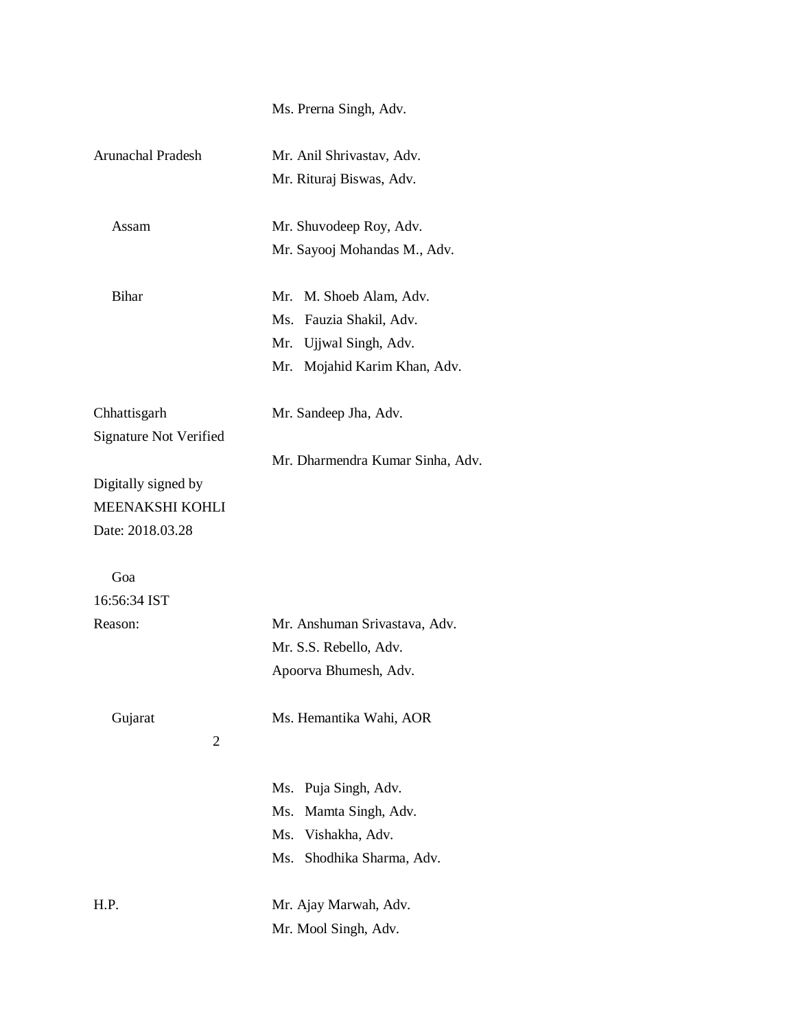Ms. Prerna Singh, Adv.

| Arunachal Pradesh             | Mr. Anil Shrivastav, Adv.        |
|-------------------------------|----------------------------------|
|                               | Mr. Rituraj Biswas, Adv.         |
| Assam                         | Mr. Shuvodeep Roy, Adv.          |
|                               | Mr. Sayooj Mohandas M., Adv.     |
| <b>Bihar</b>                  | Mr. M. Shoeb Alam, Adv.          |
|                               | Ms. Fauzia Shakil, Adv.          |
|                               | Mr. Ujjwal Singh, Adv.           |
|                               | Mr. Mojahid Karim Khan, Adv.     |
| Chhattisgarh                  | Mr. Sandeep Jha, Adv.            |
| <b>Signature Not Verified</b> |                                  |
|                               | Mr. Dharmendra Kumar Sinha, Adv. |
| Digitally signed by           |                                  |
| MEENAKSHI KOHLI               |                                  |
| Date: 2018.03.28              |                                  |
| Goa                           |                                  |
| 16:56:34 IST                  |                                  |
| Reason:                       | Mr. Anshuman Srivastava, Adv.    |
|                               | Mr. S.S. Rebello, Adv.           |
|                               | Apoorva Bhumesh, Adv.            |
| Gujarat<br>2                  | Ms. Hemantika Wahi, AOR          |
|                               | Puja Singh, Adv.<br>Ms.          |
|                               | Ms.<br>Mamta Singh, Adv.         |
|                               | Ms.<br>Vishakha, Adv.            |
|                               | Ms.<br>Shodhika Sharma, Adv.     |
| H.P.                          | Mr. Ajay Marwah, Adv.            |
|                               | Mr. Mool Singh, Adv.             |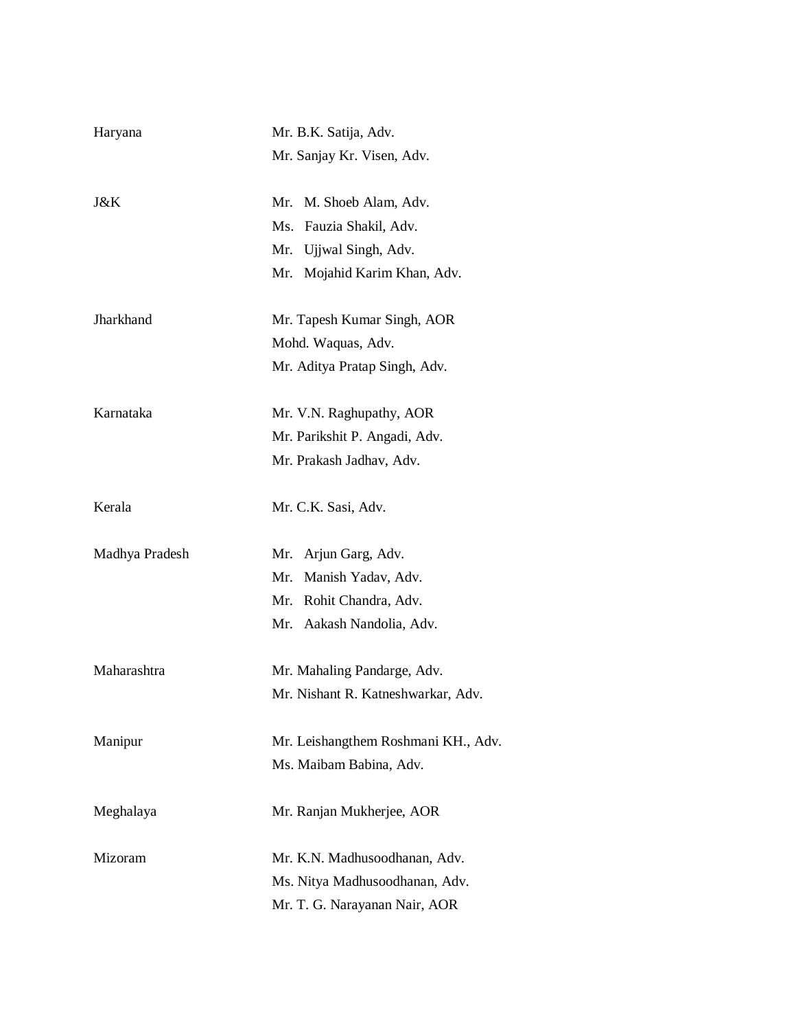| Haryana        | Mr. B.K. Satija, Adv.               |
|----------------|-------------------------------------|
|                | Mr. Sanjay Kr. Visen, Adv.          |
| J&K            | Mr. M. Shoeb Alam, Adv.             |
|                | Ms. Fauzia Shakil, Adv.             |
|                | Mr. Ujjwal Singh, Adv.              |
|                | Mr. Mojahid Karim Khan, Adv.        |
| Jharkhand      | Mr. Tapesh Kumar Singh, AOR         |
|                | Mohd. Waquas, Adv.                  |
|                | Mr. Aditya Pratap Singh, Adv.       |
| Karnataka      | Mr. V.N. Raghupathy, AOR            |
|                | Mr. Parikshit P. Angadi, Adv.       |
|                | Mr. Prakash Jadhav, Adv.            |
| Kerala         | Mr. C.K. Sasi, Adv.                 |
| Madhya Pradesh | Mr. Arjun Garg, Adv.                |
|                | Mr. Manish Yadav, Adv.              |
|                | Mr. Rohit Chandra, Adv.             |
|                | Mr. Aakash Nandolia, Adv.           |
| Maharashtra    | Mr. Mahaling Pandarge, Adv.         |
|                | Mr. Nishant R. Katneshwarkar, Adv.  |
| Manipur        | Mr. Leishangthem Roshmani KH., Adv. |
|                | Ms. Maibam Babina, Adv.             |
| Meghalaya      | Mr. Ranjan Mukherjee, AOR           |
| Mizoram        | Mr. K.N. Madhusoodhanan, Adv.       |
|                | Ms. Nitya Madhusoodhanan, Adv.      |
|                | Mr. T. G. Narayanan Nair, AOR       |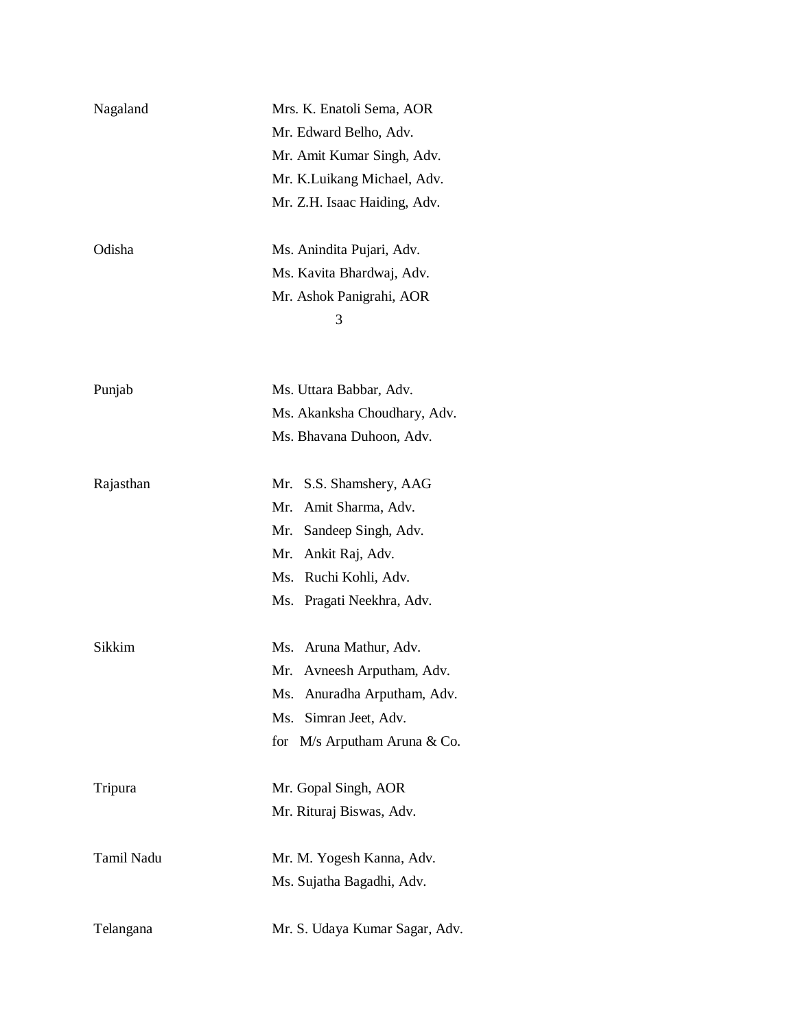| Nagaland   | Mrs. K. Enatoli Sema, AOR      |
|------------|--------------------------------|
|            | Mr. Edward Belho, Adv.         |
|            | Mr. Amit Kumar Singh, Adv.     |
|            | Mr. K.Luikang Michael, Adv.    |
|            | Mr. Z.H. Isaac Haiding, Adv.   |
|            |                                |
| Odisha     | Ms. Anindita Pujari, Adv.      |
|            | Ms. Kavita Bhardwaj, Adv.      |
|            | Mr. Ashok Panigrahi, AOR       |
|            | 3                              |
|            |                                |
| Punjab     | Ms. Uttara Babbar, Adv.        |
|            | Ms. Akanksha Choudhary, Adv.   |
|            | Ms. Bhavana Duhoon, Adv.       |
|            |                                |
| Rajasthan  | Mr. S.S. Shamshery, AAG        |
|            | Mr. Amit Sharma, Adv.          |
|            | Mr. Sandeep Singh, Adv.        |
|            | Mr. Ankit Raj, Adv.            |
|            | Ms. Ruchi Kohli, Adv.          |
|            | Ms. Pragati Neekhra, Adv.      |
| Sikkim     | Ms. Aruna Mathur, Adv.         |
|            | Mr. Avneesh Arputham, Adv.     |
|            | Ms. Anuradha Arputham, Adv.    |
|            | Ms.<br>Simran Jeet, Adv.       |
|            |                                |
|            | for M/s Arputham Aruna & Co.   |
| Tripura    | Mr. Gopal Singh, AOR           |
|            | Mr. Rituraj Biswas, Adv.       |
| Tamil Nadu | Mr. M. Yogesh Kanna, Adv.      |
|            | Ms. Sujatha Bagadhi, Adv.      |
|            |                                |
| Telangana  | Mr. S. Udaya Kumar Sagar, Adv. |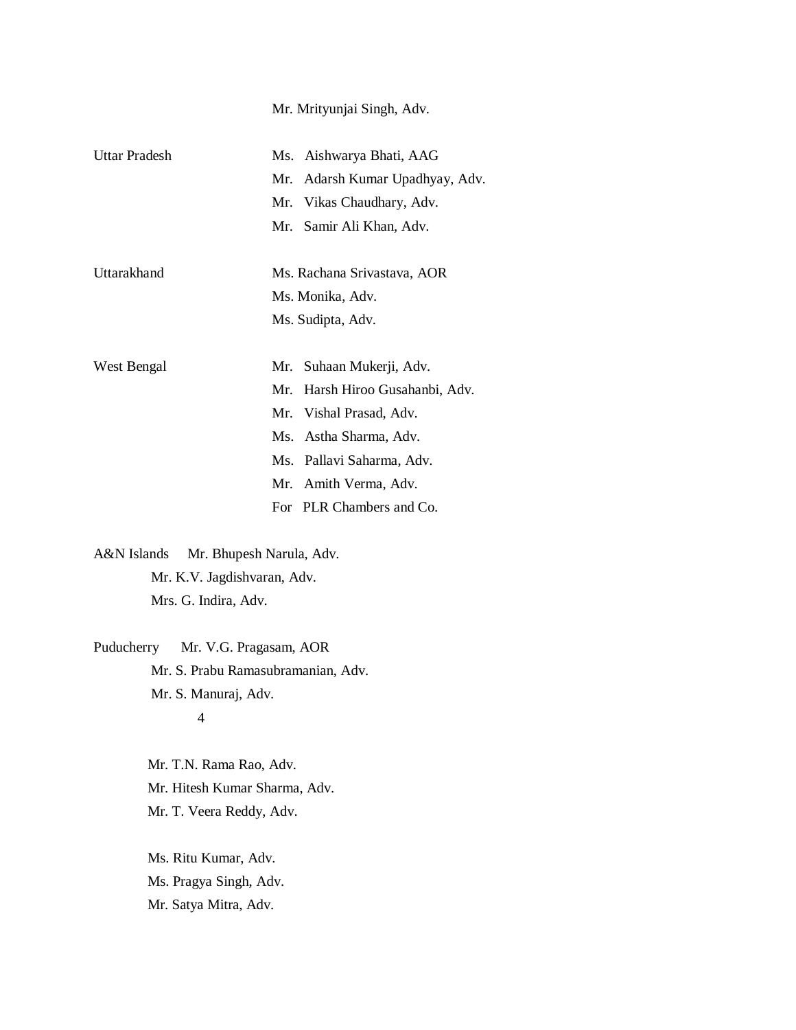|               | Mr. Mrityunjai Singh, Adv.      |
|---------------|---------------------------------|
| Uttar Pradesh | Ms. Aishwarya Bhati, AAG        |
|               | Mr. Adarsh Kumar Upadhyay, Adv. |
|               | Mr. Vikas Chaudhary, Adv.       |
|               | Mr. Samir Ali Khan, Adv.        |
| Uttarakhand   | Ms. Rachana Srivastava, AOR     |
|               | Ms. Monika, Adv.                |
|               | Ms. Sudipta, Adv.               |
| West Bengal   | Mr. Suhaan Mukerji, Adv.        |
|               | Mr. Harsh Hiroo Gusahanbi, Adv. |
|               | Mr. Vishal Prasad, Adv.         |
|               | Ms. Astha Sharma, Adv.          |
|               | Ms. Pallavi Saharma, Adv.       |
|               | Mr. Amith Verma, Adv.           |
|               | For PLR Chambers and Co.        |
|               |                                 |

A&N Islands Mr. Bhupesh Narula, Adv. Mr. K.V. Jagdishvaran, Adv. Mrs. G. Indira, Adv.

Puducherry Mr. V.G. Pragasam, AOR Mr. S. Prabu Ramasubramanian, Adv. Mr. S. Manuraj, Adv. 4

> Mr. T.N. Rama Rao, Adv. Mr. Hitesh Kumar Sharma, Adv. Mr. T. Veera Reddy, Adv.

 Ms. Ritu Kumar, Adv. Ms. Pragya Singh, Adv. Mr. Satya Mitra, Adv.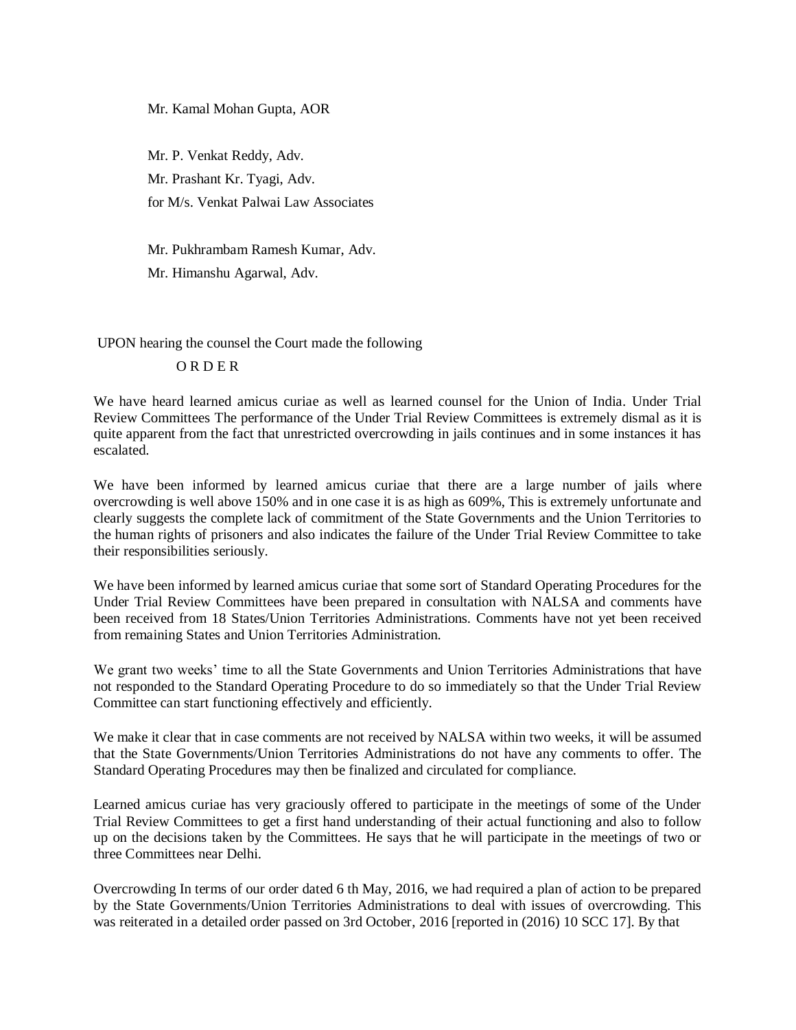Mr. Kamal Mohan Gupta, AOR

 Mr. P. Venkat Reddy, Adv. Mr. Prashant Kr. Tyagi, Adv. for M/s. Venkat Palwai Law Associates

Mr. Pukhrambam Ramesh Kumar, Adv.

Mr. Himanshu Agarwal, Adv.

UPON hearing the counsel the Court made the following

#### O R D E R

We have heard learned amicus curiae as well as learned counsel for the Union of India. Under Trial Review Committees The performance of the Under Trial Review Committees is extremely dismal as it is quite apparent from the fact that unrestricted overcrowding in jails continues and in some instances it has escalated.

We have been informed by learned amicus curiae that there are a large number of jails where overcrowding is well above 150% and in one case it is as high as 609%, This is extremely unfortunate and clearly suggests the complete lack of commitment of the State Governments and the Union Territories to the human rights of prisoners and also indicates the failure of the Under Trial Review Committee to take their responsibilities seriously.

We have been informed by learned amicus curiae that some sort of Standard Operating Procedures for the Under Trial Review Committees have been prepared in consultation with NALSA and comments have been received from 18 States/Union Territories Administrations. Comments have not yet been received from remaining States and Union Territories Administration.

We grant two weeks' time to all the State Governments and Union Territories Administrations that have not responded to the Standard Operating Procedure to do so immediately so that the Under Trial Review Committee can start functioning effectively and efficiently.

We make it clear that in case comments are not received by NALSA within two weeks, it will be assumed that the State Governments/Union Territories Administrations do not have any comments to offer. The Standard Operating Procedures may then be finalized and circulated for compliance.

Learned amicus curiae has very graciously offered to participate in the meetings of some of the Under Trial Review Committees to get a first hand understanding of their actual functioning and also to follow up on the decisions taken by the Committees. He says that he will participate in the meetings of two or three Committees near Delhi.

Overcrowding In terms of our order dated 6 th May, 2016, we had required a plan of action to be prepared by the State Governments/Union Territories Administrations to deal with issues of overcrowding. This was reiterated in a detailed order passed on 3rd October, 2016 [reported in (2016) 10 SCC 17]. By that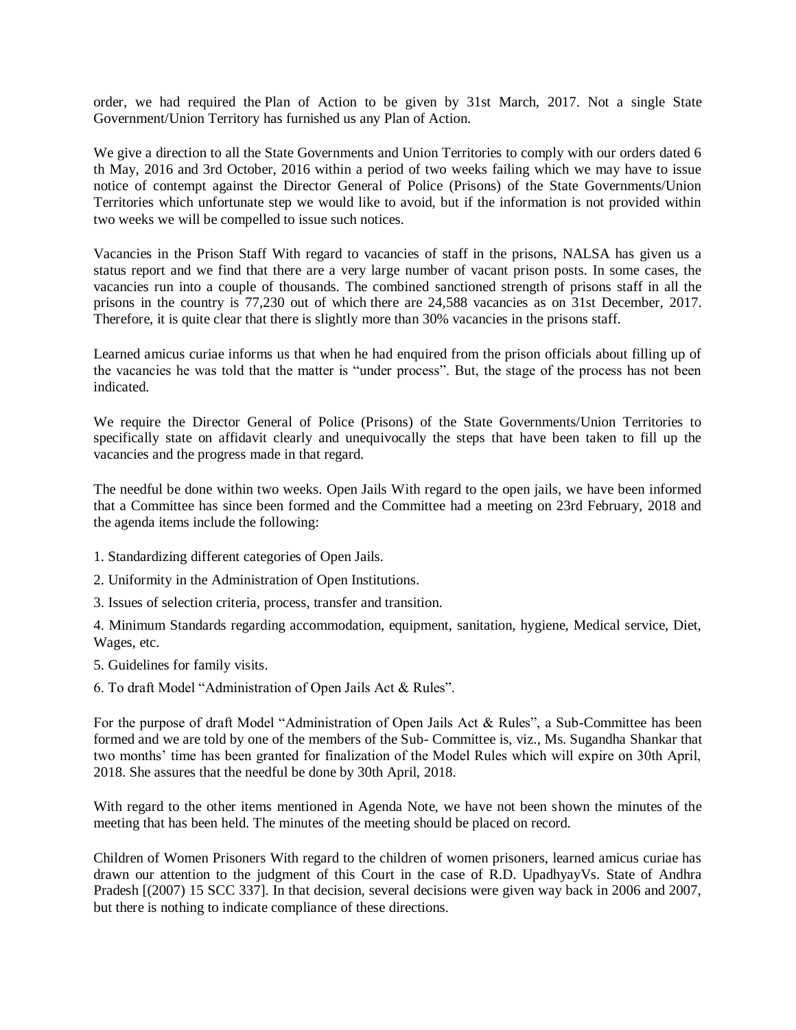order, we had required the Plan of Action to be given by 31st March, 2017. Not a single State Government/Union Territory has furnished us any Plan of Action.

We give a direction to all the State Governments and Union Territories to comply with our orders dated 6 th May, 2016 and 3rd October, 2016 within a period of two weeks failing which we may have to issue notice of contempt against the Director General of Police (Prisons) of the State Governments/Union Territories which unfortunate step we would like to avoid, but if the information is not provided within two weeks we will be compelled to issue such notices.

Vacancies in the Prison Staff With regard to vacancies of staff in the prisons, NALSA has given us a status report and we find that there are a very large number of vacant prison posts. In some cases, the vacancies run into a couple of thousands. The combined sanctioned strength of prisons staff in all the prisons in the country is 77,230 out of which there are 24,588 vacancies as on 31st December, 2017. Therefore, it is quite clear that there is slightly more than 30% vacancies in the prisons staff.

Learned amicus curiae informs us that when he had enquired from the prison officials about filling up of the vacancies he was told that the matter is "under process". But, the stage of the process has not been indicated.

We require the Director General of Police (Prisons) of the State Governments/Union Territories to specifically state on affidavit clearly and unequivocally the steps that have been taken to fill up the vacancies and the progress made in that regard.

The needful be done within two weeks. Open Jails With regard to the open jails, we have been informed that a Committee has since been formed and the Committee had a meeting on 23rd February, 2018 and the agenda items include the following:

- 1. Standardizing different categories of Open Jails.
- 2. Uniformity in the Administration of Open Institutions.
- 3. Issues of selection criteria, process, transfer and transition.

4. Minimum Standards regarding accommodation, equipment, sanitation, hygiene, Medical service, Diet, Wages, etc.

- 5. Guidelines for family visits.
- 6. To draft Model "Administration of Open Jails Act & Rules".

For the purpose of draft Model "Administration of Open Jails Act & Rules", a Sub-Committee has been formed and we are told by one of the members of the Sub- Committee is, viz., Ms. Sugandha Shankar that two months' time has been granted for finalization of the Model Rules which will expire on 30th April, 2018. She assures that the needful be done by 30th April, 2018.

With regard to the other items mentioned in Agenda Note, we have not been shown the minutes of the meeting that has been held. The minutes of the meeting should be placed on record.

Children of Women Prisoners With regard to the children of women prisoners, learned amicus curiae has drawn our attention to the judgment of this Court in the case of R.D. UpadhyayVs. State of Andhra Pradesh [(2007) 15 SCC 337]. In that decision, several decisions were given way back in 2006 and 2007, but there is nothing to indicate compliance of these directions.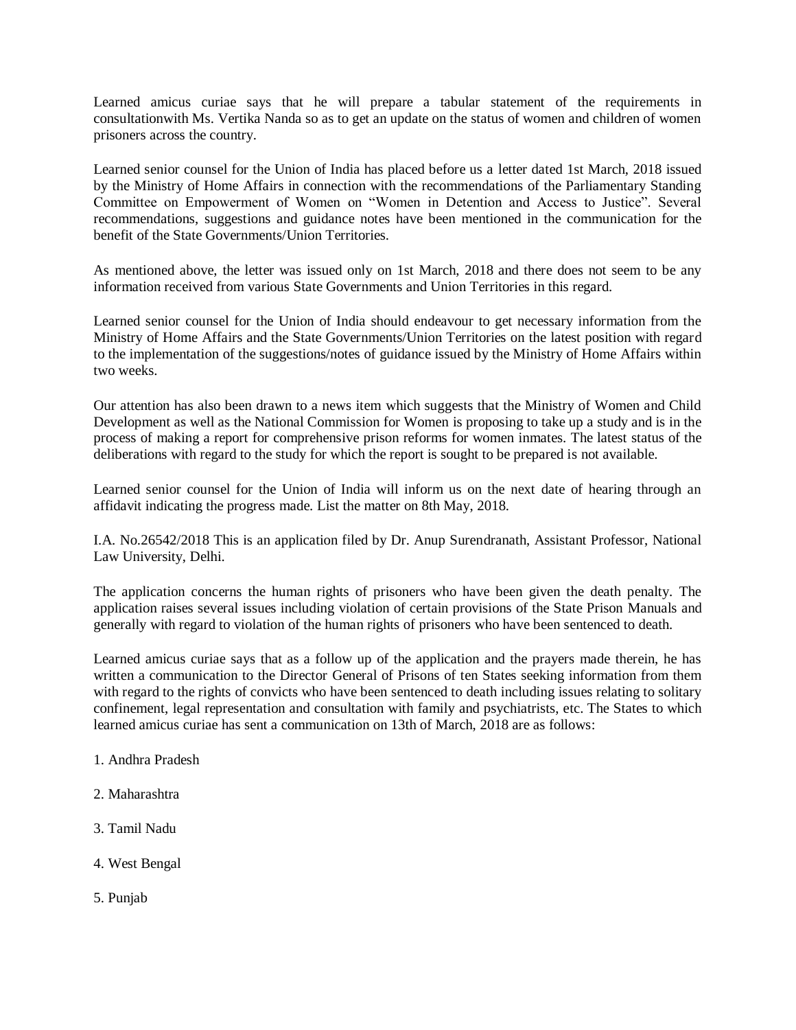Learned amicus curiae says that he will prepare a tabular statement of the requirements in consultationwith Ms. Vertika Nanda so as to get an update on the status of women and children of women prisoners across the country.

Learned senior counsel for the Union of India has placed before us a letter dated 1st March, 2018 issued by the Ministry of Home Affairs in connection with the recommendations of the Parliamentary Standing Committee on Empowerment of Women on "Women in Detention and Access to Justice". Several recommendations, suggestions and guidance notes have been mentioned in the communication for the benefit of the State Governments/Union Territories.

As mentioned above, the letter was issued only on 1st March, 2018 and there does not seem to be any information received from various State Governments and Union Territories in this regard.

Learned senior counsel for the Union of India should endeavour to get necessary information from the Ministry of Home Affairs and the State Governments/Union Territories on the latest position with regard to the implementation of the suggestions/notes of guidance issued by the Ministry of Home Affairs within two weeks.

Our attention has also been drawn to a news item which suggests that the Ministry of Women and Child Development as well as the National Commission for Women is proposing to take up a study and is in the process of making a report for comprehensive prison reforms for women inmates. The latest status of the deliberations with regard to the study for which the report is sought to be prepared is not available.

Learned senior counsel for the Union of India will inform us on the next date of hearing through an affidavit indicating the progress made. List the matter on 8th May, 2018.

I.A. No.26542/2018 This is an application filed by Dr. Anup Surendranath, Assistant Professor, National Law University, Delhi.

The application concerns the human rights of prisoners who have been given the death penalty. The application raises several issues including violation of certain provisions of the State Prison Manuals and generally with regard to violation of the human rights of prisoners who have been sentenced to death.

Learned amicus curiae says that as a follow up of the application and the prayers made therein, he has written a communication to the Director General of Prisons of ten States seeking information from them with regard to the rights of convicts who have been sentenced to death including issues relating to solitary confinement, legal representation and consultation with family and psychiatrists, etc. The States to which learned amicus curiae has sent a communication on 13th of March, 2018 are as follows:

- 1. Andhra Pradesh
- 2. Maharashtra
- 3. Tamil Nadu
- 4. West Bengal
- 5. Punjab